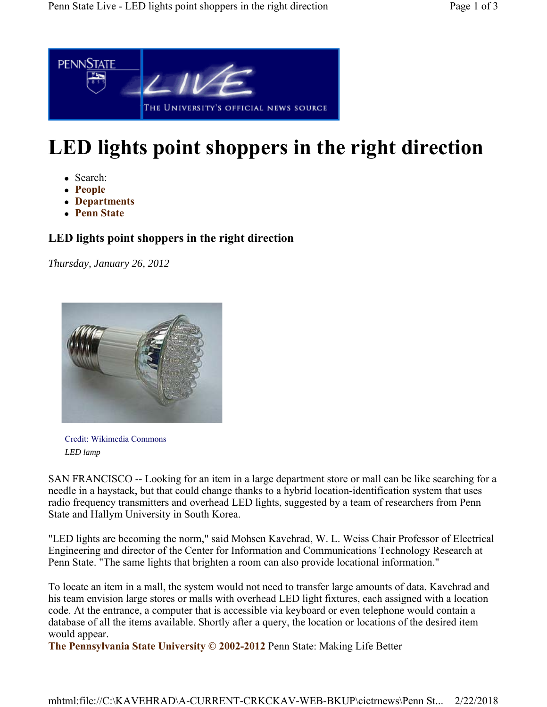

## **LED lights point shoppers in the right direction**

- Search:
- **People**
- **Departments**
- **Penn State**

## **LED lights point shoppers in the right direction**

*Thursday, January 26, 2012*



Credit: Wikimedia Commons *LED lamp*

SAN FRANCISCO -- Looking for an item in a large department store or mall can be like searching for a needle in a haystack, but that could change thanks to a hybrid location-identification system that uses radio frequency transmitters and overhead LED lights, suggested by a team of researchers from Penn State and Hallym University in South Korea.

"LED lights are becoming the norm," said Mohsen Kavehrad, W. L. Weiss Chair Professor of Electrical Engineering and director of the Center for Information and Communications Technology Research at Penn State. "The same lights that brighten a room can also provide locational information."

To locate an item in a mall, the system would not need to transfer large amounts of data. Kavehrad and his team envision large stores or malls with overhead LED light fixtures, each assigned with a location code. At the entrance, a computer that is accessible via keyboard or even telephone would contain a database of all the items available. Shortly after a query, the location or locations of the desired item would appear.

**The Pennsylvania State University © 2002-2012** Penn State: Making Life Better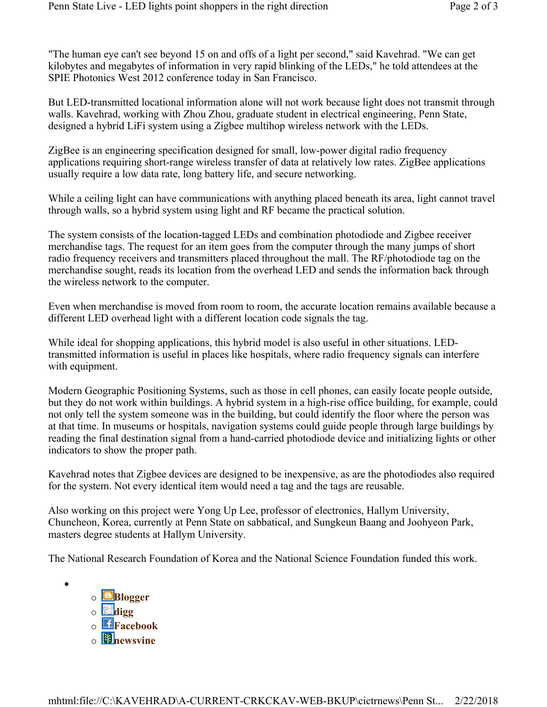"The human eye can't see beyond 15 on and offs of a light per second," said Kavehrad. "We can get kilobytes and megabytes of information in very rapid blinking of the LEDs," he told attendees at the SPIE Photonics West 2012 conference today in San Francisco.

But LED-transmitted locational information alone will not work because light does not transmit through walls. Kavehrad, working with Zhou Zhou, graduate student in electrical engineering, Penn State, designed a hybrid LiFi system using a Zigbee multihop wireless network with the LEDs.

ZigBee is an engineering specification designed for small, low-power digital radio frequency applications requiring short-range wireless transfer of data at relatively low rates. ZigBee applications usually require a low data rate, long battery life, and secure networking.

While a ceiling light can have communications with anything placed beneath its area, light cannot travel through walls, so a hybrid system using light and RF became the practical solution.

The system consists of the location-tagged LEDs and combination photodiode and Zigbee receiver merchandise tags. The request for an item goes from the computer through the many jumps of short radio frequency receivers and transmitters placed throughout the mall. The RF/photodiode tag on the merchandise sought, reads its location from the overhead LED and sends the information back through the wireless network to the computer.

Even when merchandise is moved from room to room, the accurate location remains available because a different LED overhead light with a different location code signals the tag.

While ideal for shopping applications, this hybrid model is also useful in other situations. LEDtransmitted information is useful in places like hospitals, where radio frequency signals can interfere with equipment.

Modern Geographic Positioning Systems, such as those in cell phones, can easily locate people outside, but they do not work within buildings. A hybrid system in a high-rise office building, for example, could not only tell the system someone was in the building, but could identify the floor where the person was at that time. In museums or hospitals, navigation systems could guide people through large buildings by reading the final destination signal from a hand-carried photodiode device and initializing lights or other indicators to show the proper path.

Kavehrad notes that Zigbee devices are designed to be inexpensive, as are the photodiodes also required for the system. Not every identical item would need a tag and the tags are reusable.

Also working on this project were Yong Up Lee, professor of electronics, Hallym University, Chuncheon, Korea, currently at Penn State on sabbatical, and Sungkeun Baang and Joohyeon Park, masters degree students at Hallym University.

The National Research Foundation of Korea and the National Science Foundation funded this work.



 $\bullet$